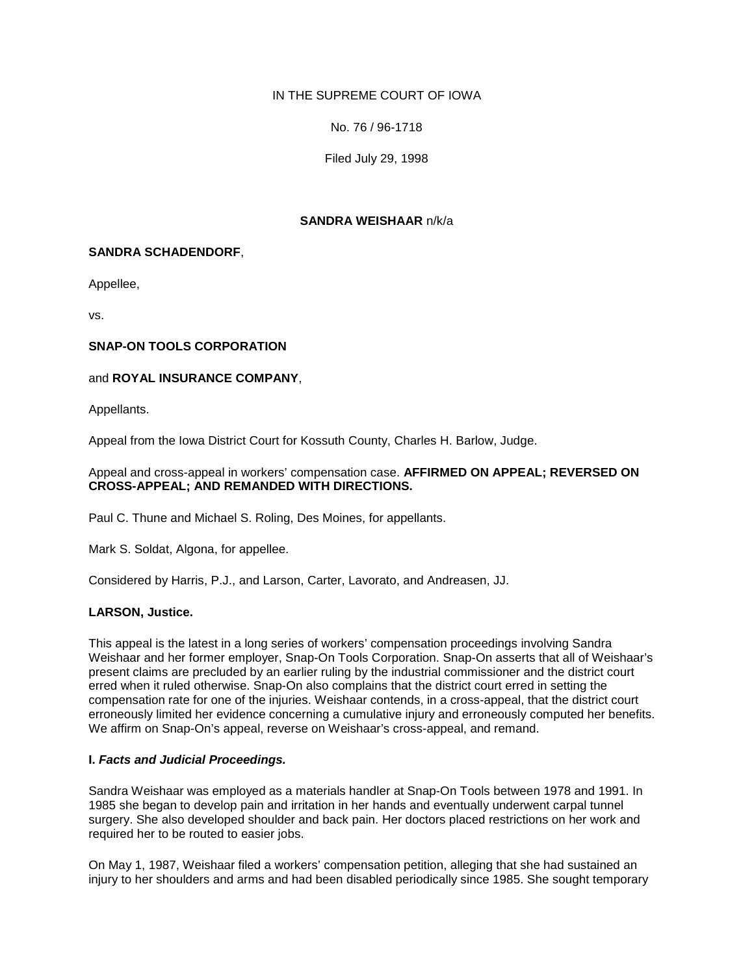# IN THE SUPREME COURT OF IOWA

No. 76 / 96-1718

Filed July 29, 1998

### **SANDRA WEISHAAR** n/k/a

### **SANDRA SCHADENDORF**,

Appellee,

vs.

### **SNAP-ON TOOLS CORPORATION**

### and **ROYAL INSURANCE COMPANY**,

Appellants.

Appeal from the Iowa District Court for Kossuth County, Charles H. Barlow, Judge.

#### Appeal and cross-appeal in workers' compensation case. **AFFIRMED ON APPEAL; REVERSED ON CROSS-APPEAL; AND REMANDED WITH DIRECTIONS.**

Paul C. Thune and Michael S. Roling, Des Moines, for appellants.

Mark S. Soldat, Algona, for appellee.

Considered by Harris, P.J., and Larson, Carter, Lavorato, and Andreasen, JJ.

# **LARSON, Justice.**

This appeal is the latest in a long series of workers' compensation proceedings involving Sandra Weishaar and her former employer, Snap-On Tools Corporation. Snap-On asserts that all of Weishaar's present claims are precluded by an earlier ruling by the industrial commissioner and the district court erred when it ruled otherwise. Snap-On also complains that the district court erred in setting the compensation rate for one of the injuries. Weishaar contends, in a cross-appeal, that the district court erroneously limited her evidence concerning a cumulative injury and erroneously computed her benefits. We affirm on Snap-On's appeal, reverse on Weishaar's cross-appeal, and remand.

#### **I.** *Facts and Judicial Proceedings.*

Sandra Weishaar was employed as a materials handler at Snap-On Tools between 1978 and 1991. In 1985 she began to develop pain and irritation in her hands and eventually underwent carpal tunnel surgery. She also developed shoulder and back pain. Her doctors placed restrictions on her work and required her to be routed to easier jobs.

On May 1, 1987, Weishaar filed a workers' compensation petition, alleging that she had sustained an injury to her shoulders and arms and had been disabled periodically since 1985. She sought temporary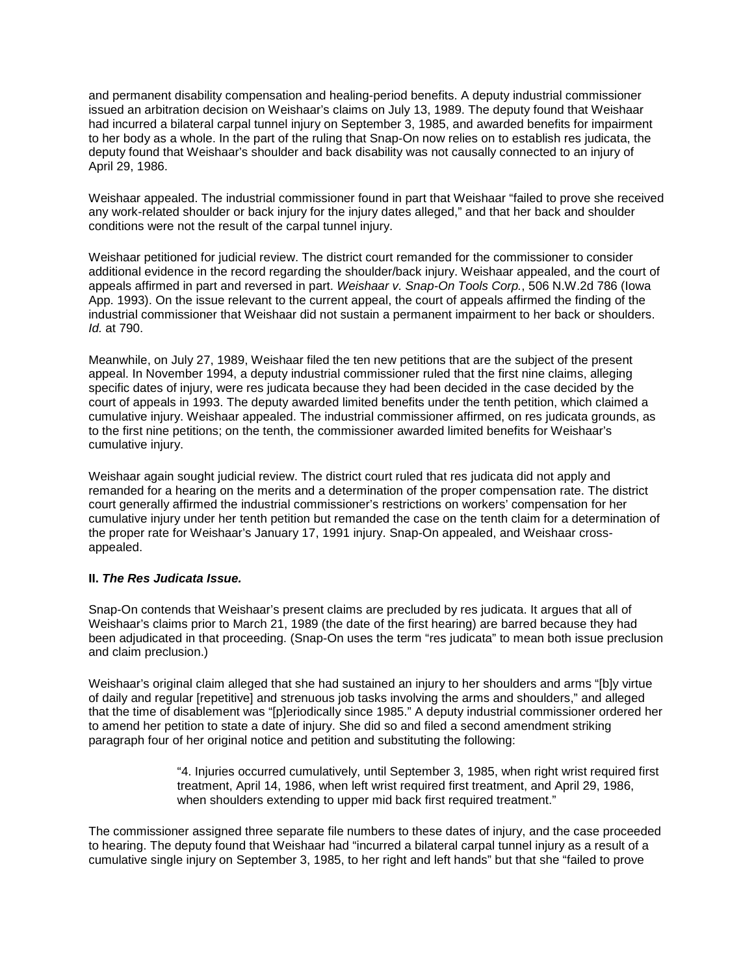and permanent disability compensation and healing-period benefits. A deputy industrial commissioner issued an arbitration decision on Weishaar's claims on July 13, 1989. The deputy found that Weishaar had incurred a bilateral carpal tunnel injury on September 3, 1985, and awarded benefits for impairment to her body as a whole. In the part of the ruling that Snap-On now relies on to establish res judicata, the deputy found that Weishaar's shoulder and back disability was not causally connected to an injury of April 29, 1986.

Weishaar appealed. The industrial commissioner found in part that Weishaar "failed to prove she received any work-related shoulder or back injury for the injury dates alleged," and that her back and shoulder conditions were not the result of the carpal tunnel injury.

Weishaar petitioned for judicial review. The district court remanded for the commissioner to consider additional evidence in the record regarding the shoulder/back injury. Weishaar appealed, and the court of appeals affirmed in part and reversed in part. *Weishaar v. Snap-On Tools Corp.*, 506 N.W.2d 786 (Iowa App. 1993). On the issue relevant to the current appeal, the court of appeals affirmed the finding of the industrial commissioner that Weishaar did not sustain a permanent impairment to her back or shoulders. *Id.* at 790.

Meanwhile, on July 27, 1989, Weishaar filed the ten new petitions that are the subject of the present appeal. In November 1994, a deputy industrial commissioner ruled that the first nine claims, alleging specific dates of injury, were res judicata because they had been decided in the case decided by the court of appeals in 1993. The deputy awarded limited benefits under the tenth petition, which claimed a cumulative injury. Weishaar appealed. The industrial commissioner affirmed, on res judicata grounds, as to the first nine petitions; on the tenth, the commissioner awarded limited benefits for Weishaar's cumulative injury.

Weishaar again sought judicial review. The district court ruled that res judicata did not apply and remanded for a hearing on the merits and a determination of the proper compensation rate. The district court generally affirmed the industrial commissioner's restrictions on workers' compensation for her cumulative injury under her tenth petition but remanded the case on the tenth claim for a determination of the proper rate for Weishaar's January 17, 1991 injury. Snap-On appealed, and Weishaar crossappealed.

# **II.** *The Res Judicata Issue.*

Snap-On contends that Weishaar's present claims are precluded by res judicata. It argues that all of Weishaar's claims prior to March 21, 1989 (the date of the first hearing) are barred because they had been adjudicated in that proceeding. (Snap-On uses the term "res judicata" to mean both issue preclusion and claim preclusion.)

Weishaar's original claim alleged that she had sustained an injury to her shoulders and arms "[b]y virtue of daily and regular [repetitive] and strenuous job tasks involving the arms and shoulders," and alleged that the time of disablement was "[p]eriodically since 1985." A deputy industrial commissioner ordered her to amend her petition to state a date of injury. She did so and filed a second amendment striking paragraph four of her original notice and petition and substituting the following:

> "4. Injuries occurred cumulatively, until September 3, 1985, when right wrist required first treatment, April 14, 1986, when left wrist required first treatment, and April 29, 1986, when shoulders extending to upper mid back first required treatment."

The commissioner assigned three separate file numbers to these dates of injury, and the case proceeded to hearing. The deputy found that Weishaar had "incurred a bilateral carpal tunnel injury as a result of a cumulative single injury on September 3, 1985, to her right and left hands" but that she "failed to prove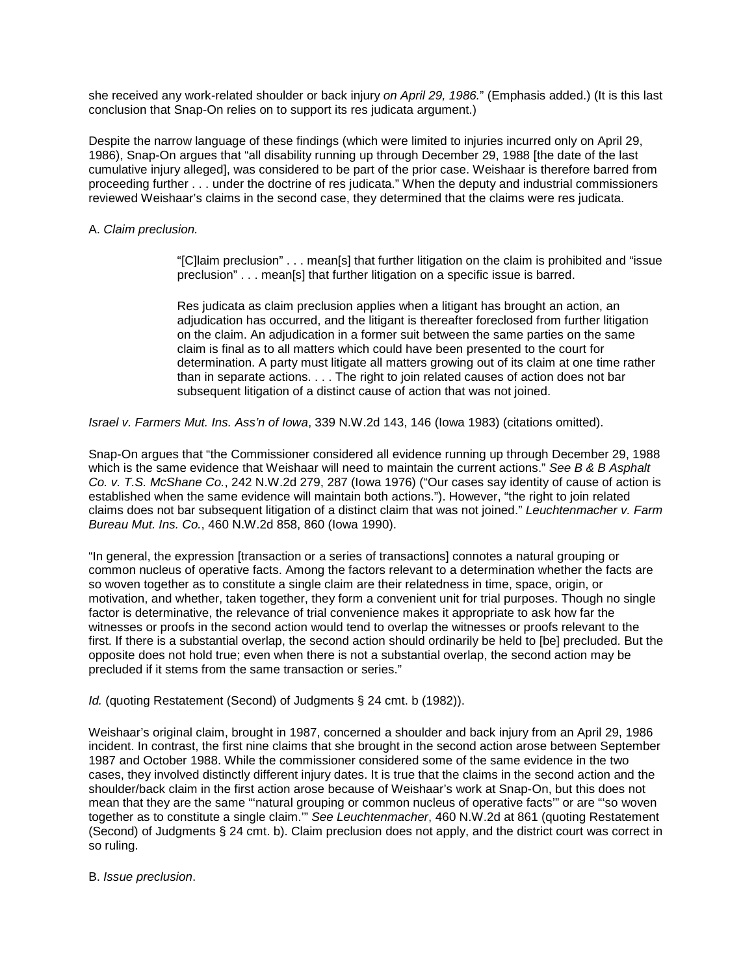she received any work-related shoulder or back injury *on April 29, 1986.*" (Emphasis added.) (It is this last conclusion that Snap-On relies on to support its res judicata argument.)

Despite the narrow language of these findings (which were limited to injuries incurred only on April 29, 1986), Snap-On argues that "all disability running up through December 29, 1988 [the date of the last cumulative injury alleged], was considered to be part of the prior case. Weishaar is therefore barred from proceeding further . . . under the doctrine of res judicata." When the deputy and industrial commissioners reviewed Weishaar's claims in the second case, they determined that the claims were res judicata.

### A. *Claim preclusion.*

"[C]laim preclusion" . . . mean[s] that further litigation on the claim is prohibited and "issue preclusion" . . . mean[s] that further litigation on a specific issue is barred.

Res judicata as claim preclusion applies when a litigant has brought an action, an adjudication has occurred, and the litigant is thereafter foreclosed from further litigation on the claim. An adjudication in a former suit between the same parties on the same claim is final as to all matters which could have been presented to the court for determination. A party must litigate all matters growing out of its claim at one time rather than in separate actions. . . . The right to join related causes of action does not bar subsequent litigation of a distinct cause of action that was not joined.

*Israel v. Farmers Mut. Ins. Ass'n of Iowa*, 339 N.W.2d 143, 146 (Iowa 1983) (citations omitted).

Snap-On argues that "the Commissioner considered all evidence running up through December 29, 1988 which is the same evidence that Weishaar will need to maintain the current actions." *See B & B Asphalt Co. v. T.S. McShane Co.*, 242 N.W.2d 279, 287 (Iowa 1976) ("Our cases say identity of cause of action is established when the same evidence will maintain both actions."). However, "the right to join related claims does not bar subsequent litigation of a distinct claim that was not joined." *Leuchtenmacher v. Farm Bureau Mut. Ins. Co.*, 460 N.W.2d 858, 860 (Iowa 1990).

"In general, the expression [transaction or a series of transactions] connotes a natural grouping or common nucleus of operative facts. Among the factors relevant to a determination whether the facts are so woven together as to constitute a single claim are their relatedness in time, space, origin, or motivation, and whether, taken together, they form a convenient unit for trial purposes. Though no single factor is determinative, the relevance of trial convenience makes it appropriate to ask how far the witnesses or proofs in the second action would tend to overlap the witnesses or proofs relevant to the first. If there is a substantial overlap, the second action should ordinarily be held to [be] precluded. But the opposite does not hold true; even when there is not a substantial overlap, the second action may be precluded if it stems from the same transaction or series."

*Id.* (quoting Restatement (Second) of Judgments § 24 cmt. b (1982)).

Weishaar's original claim, brought in 1987, concerned a shoulder and back injury from an April 29, 1986 incident. In contrast, the first nine claims that she brought in the second action arose between September 1987 and October 1988. While the commissioner considered some of the same evidence in the two cases, they involved distinctly different injury dates. It is true that the claims in the second action and the shoulder/back claim in the first action arose because of Weishaar's work at Snap-On, but this does not mean that they are the same "'natural grouping or common nucleus of operative facts'" or are "'so woven together as to constitute a single claim.'" *See Leuchtenmacher*, 460 N.W.2d at 861 (quoting Restatement (Second) of Judgments § 24 cmt. b). Claim preclusion does not apply, and the district court was correct in so ruling.

#### B. *Issue preclusion*.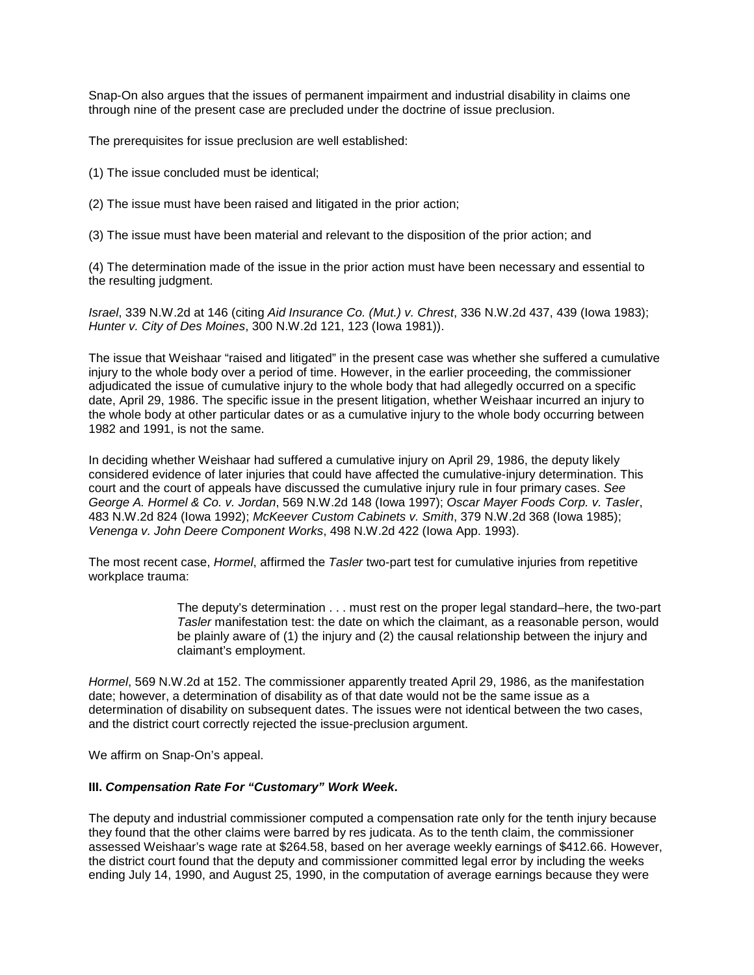Snap-On also argues that the issues of permanent impairment and industrial disability in claims one through nine of the present case are precluded under the doctrine of issue preclusion.

The prerequisites for issue preclusion are well established:

- (1) The issue concluded must be identical;
- (2) The issue must have been raised and litigated in the prior action;

(3) The issue must have been material and relevant to the disposition of the prior action; and

(4) The determination made of the issue in the prior action must have been necessary and essential to the resulting judgment.

*Israel*, 339 N.W.2d at 146 (citing *Aid Insurance Co. (Mut.) v. Chrest*, 336 N.W.2d 437, 439 (Iowa 1983); *Hunter v. City of Des Moines*, 300 N.W.2d 121, 123 (Iowa 1981)).

The issue that Weishaar "raised and litigated" in the present case was whether she suffered a cumulative injury to the whole body over a period of time. However, in the earlier proceeding, the commissioner adjudicated the issue of cumulative injury to the whole body that had allegedly occurred on a specific date, April 29, 1986. The specific issue in the present litigation, whether Weishaar incurred an injury to the whole body at other particular dates or as a cumulative injury to the whole body occurring between 1982 and 1991, is not the same.

In deciding whether Weishaar had suffered a cumulative injury on April 29, 1986, the deputy likely considered evidence of later injuries that could have affected the cumulative-injury determination. This court and the court of appeals have discussed the cumulative injury rule in four primary cases. *See George A. Hormel & Co. v. Jordan*, 569 N.W.2d 148 (Iowa 1997); *Oscar Mayer Foods Corp. v. Tasler*, 483 N.W.2d 824 (Iowa 1992); *McKeever Custom Cabinets v. Smith*, 379 N.W.2d 368 (Iowa 1985); *Venenga v. John Deere Component Works*, 498 N.W.2d 422 (Iowa App. 1993).

The most recent case, *Hormel*, affirmed the *Tasler* two-part test for cumulative injuries from repetitive workplace trauma:

> The deputy's determination . . . must rest on the proper legal standard–here, the two-part *Tasler* manifestation test: the date on which the claimant, as a reasonable person, would be plainly aware of (1) the injury and (2) the causal relationship between the injury and claimant's employment.

*Hormel*, 569 N.W.2d at 152. The commissioner apparently treated April 29, 1986, as the manifestation date; however, a determination of disability as of that date would not be the same issue as a determination of disability on subsequent dates. The issues were not identical between the two cases, and the district court correctly rejected the issue-preclusion argument.

We affirm on Snap-On's appeal.

#### **III.** *Compensation Rate For "Customary" Work Week***.**

The deputy and industrial commissioner computed a compensation rate only for the tenth injury because they found that the other claims were barred by res judicata. As to the tenth claim, the commissioner assessed Weishaar's wage rate at \$264.58, based on her average weekly earnings of \$412.66. However, the district court found that the deputy and commissioner committed legal error by including the weeks ending July 14, 1990, and August 25, 1990, in the computation of average earnings because they were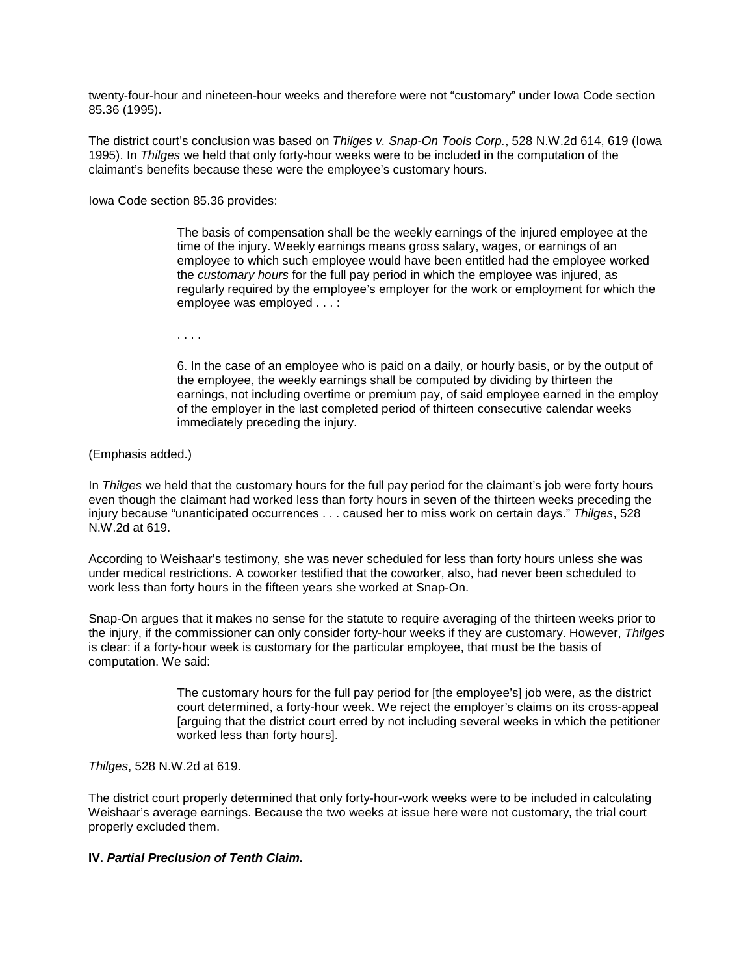twenty-four-hour and nineteen-hour weeks and therefore were not "customary" under Iowa Code section 85.36 (1995).

The district court's conclusion was based on *Thilges v. Snap-On Tools Corp.*, 528 N.W.2d 614, 619 (Iowa 1995). In *Thilges* we held that only forty-hour weeks were to be included in the computation of the claimant's benefits because these were the employee's customary hours.

Iowa Code section 85.36 provides:

The basis of compensation shall be the weekly earnings of the injured employee at the time of the injury. Weekly earnings means gross salary, wages, or earnings of an employee to which such employee would have been entitled had the employee worked the *customary hours* for the full pay period in which the employee was injured, as regularly required by the employee's employer for the work or employment for which the employee was employed . . . :

. . . .

6. In the case of an employee who is paid on a daily, or hourly basis, or by the output of the employee, the weekly earnings shall be computed by dividing by thirteen the earnings, not including overtime or premium pay, of said employee earned in the employ of the employer in the last completed period of thirteen consecutive calendar weeks immediately preceding the injury.

(Emphasis added.)

In *Thilges* we held that the customary hours for the full pay period for the claimant's job were forty hours even though the claimant had worked less than forty hours in seven of the thirteen weeks preceding the injury because "unanticipated occurrences . . . caused her to miss work on certain days." *Thilges*, 528 N.W.2d at 619.

According to Weishaar's testimony, she was never scheduled for less than forty hours unless she was under medical restrictions. A coworker testified that the coworker, also, had never been scheduled to work less than forty hours in the fifteen years she worked at Snap-On.

Snap-On argues that it makes no sense for the statute to require averaging of the thirteen weeks prior to the injury, if the commissioner can only consider forty-hour weeks if they are customary. However, *Thilges* is clear: if a forty-hour week is customary for the particular employee, that must be the basis of computation. We said:

> The customary hours for the full pay period for [the employee's] job were, as the district court determined, a forty-hour week. We reject the employer's claims on its cross-appeal [arguing that the district court erred by not including several weeks in which the petitioner worked less than forty hours].

*Thilges*, 528 N.W.2d at 619.

The district court properly determined that only forty-hour-work weeks were to be included in calculating Weishaar's average earnings. Because the two weeks at issue here were not customary, the trial court properly excluded them.

# **IV.** *Partial Preclusion of Tenth Claim.*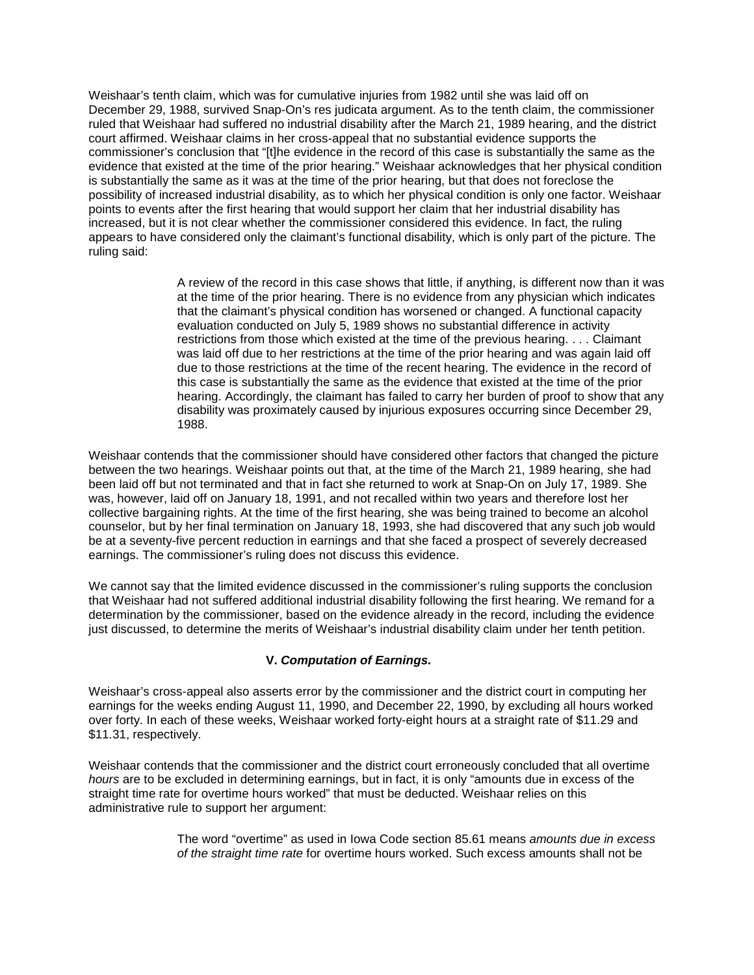Weishaar's tenth claim, which was for cumulative injuries from 1982 until she was laid off on December 29, 1988, survived Snap-On's res judicata argument. As to the tenth claim, the commissioner ruled that Weishaar had suffered no industrial disability after the March 21, 1989 hearing, and the district court affirmed. Weishaar claims in her cross-appeal that no substantial evidence supports the commissioner's conclusion that "[t]he evidence in the record of this case is substantially the same as the evidence that existed at the time of the prior hearing." Weishaar acknowledges that her physical condition is substantially the same as it was at the time of the prior hearing, but that does not foreclose the possibility of increased industrial disability, as to which her physical condition is only one factor. Weishaar points to events after the first hearing that would support her claim that her industrial disability has increased, but it is not clear whether the commissioner considered this evidence. In fact, the ruling appears to have considered only the claimant's functional disability, which is only part of the picture. The ruling said:

> A review of the record in this case shows that little, if anything, is different now than it was at the time of the prior hearing. There is no evidence from any physician which indicates that the claimant's physical condition has worsened or changed. A functional capacity evaluation conducted on July 5, 1989 shows no substantial difference in activity restrictions from those which existed at the time of the previous hearing. . . . Claimant was laid off due to her restrictions at the time of the prior hearing and was again laid off due to those restrictions at the time of the recent hearing. The evidence in the record of this case is substantially the same as the evidence that existed at the time of the prior hearing. Accordingly, the claimant has failed to carry her burden of proof to show that any disability was proximately caused by injurious exposures occurring since December 29, 1988.

Weishaar contends that the commissioner should have considered other factors that changed the picture between the two hearings. Weishaar points out that, at the time of the March 21, 1989 hearing, she had been laid off but not terminated and that in fact she returned to work at Snap-On on July 17, 1989. She was, however, laid off on January 18, 1991, and not recalled within two years and therefore lost her collective bargaining rights. At the time of the first hearing, she was being trained to become an alcohol counselor, but by her final termination on January 18, 1993, she had discovered that any such job would be at a seventy-five percent reduction in earnings and that she faced a prospect of severely decreased earnings. The commissioner's ruling does not discuss this evidence.

We cannot say that the limited evidence discussed in the commissioner's ruling supports the conclusion that Weishaar had not suffered additional industrial disability following the first hearing. We remand for a determination by the commissioner, based on the evidence already in the record, including the evidence just discussed, to determine the merits of Weishaar's industrial disability claim under her tenth petition.

# **V.** *Computation of Earnings.*

Weishaar's cross-appeal also asserts error by the commissioner and the district court in computing her earnings for the weeks ending August 11, 1990, and December 22, 1990, by excluding all hours worked over forty. In each of these weeks, Weishaar worked forty-eight hours at a straight rate of \$11.29 and \$11.31, respectively.

Weishaar contends that the commissioner and the district court erroneously concluded that all overtime *hours* are to be excluded in determining earnings, but in fact, it is only "amounts due in excess of the straight time rate for overtime hours worked" that must be deducted. Weishaar relies on this administrative rule to support her argument:

> The word "overtime" as used in Iowa Code section 85.61 means *amounts due in excess of the straight time rate* for overtime hours worked. Such excess amounts shall not be